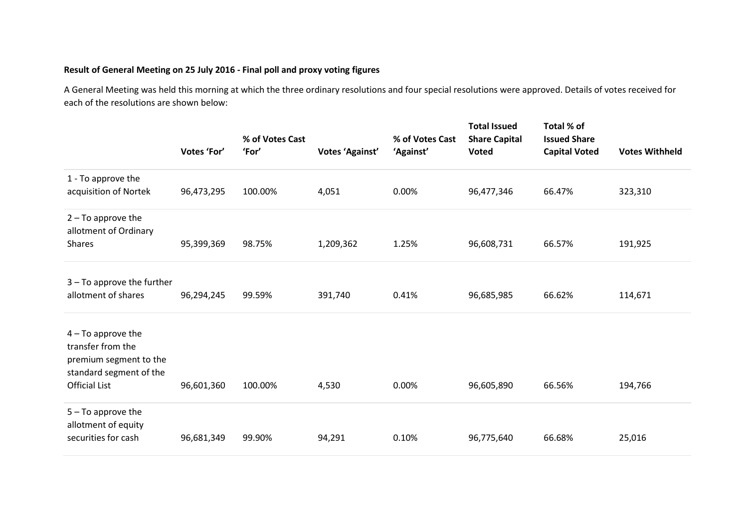## **Result of General Meeting on 25 July 2016 - Final poll and proxy voting figures**

A General Meeting was held this morning at which the three ordinary resolutions and four special resolutions were approved. Details of votes received for each of the resolutions are shown below:

|                                                                                                                        | Votes 'For' | % of Votes Cast<br>'For' | Votes 'Against' | % of Votes Cast<br>'Against' | <b>Total Issued</b><br><b>Share Capital</b><br>Voted | Total % of<br><b>Issued Share</b><br><b>Capital Voted</b> | <b>Votes Withheld</b> |
|------------------------------------------------------------------------------------------------------------------------|-------------|--------------------------|-----------------|------------------------------|------------------------------------------------------|-----------------------------------------------------------|-----------------------|
| 1 - To approve the<br>acquisition of Nortek                                                                            | 96,473,295  | 100.00%                  | 4,051           | 0.00%                        | 96,477,346                                           | 66.47%                                                    | 323,310               |
| $2 - To$ approve the<br>allotment of Ordinary<br><b>Shares</b>                                                         | 95,399,369  | 98.75%                   | 1,209,362       | 1.25%                        | 96,608,731                                           | 66.57%                                                    | 191,925               |
| $3 - To$ approve the further<br>allotment of shares                                                                    | 96,294,245  | 99.59%                   | 391,740         | 0.41%                        | 96,685,985                                           | 66.62%                                                    | 114,671               |
| $4 - To$ approve the<br>transfer from the<br>premium segment to the<br>standard segment of the<br><b>Official List</b> | 96,601,360  | 100.00%                  | 4,530           | 0.00%                        | 96,605,890                                           | 66.56%                                                    | 194,766               |
| $5 - To$ approve the<br>allotment of equity<br>securities for cash                                                     | 96,681,349  | 99.90%                   | 94,291          | 0.10%                        | 96,775,640                                           | 66.68%                                                    | 25,016                |